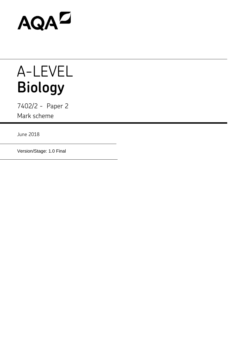

## A-LEVEL **Biology**

7402/2 - Paper 2 Mark scheme

June 2018

Version/Stage: 1.0 Final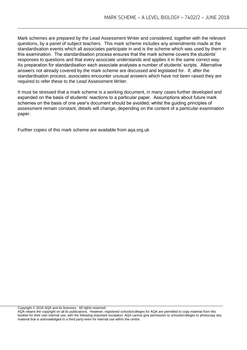Mark schemes are prepared by the Lead Assessment Writer and considered, together with the relevant questions, by a panel of subject teachers. This mark scheme includes any amendments made at the standardisation events which all associates participate in and is the scheme which was used by them in this examination. The standardisation process ensures that the mark scheme covers the students' responses to questions and that every associate understands and applies it in the same correct way. As preparation for standardisation each associate analyses a number of students' scripts. Alternative answers not already covered by the mark scheme are discussed and legislated for. If, after the standardisation process, associates encounter unusual answers which have not been raised they are required to refer these to the Lead Assessment Writer.

It must be stressed that a mark scheme is a working document, in many cases further developed and expanded on the basis of students' reactions to a particular paper. Assumptions about future mark schemes on the basis of one year's document should be avoided; whilst the guiding principles of assessment remain constant, details will change, depending on the content of a particular examination paper.

Further copies of this mark scheme are available from aqa.org.uk

Copyright © 2018 AQA and its licensors. All rights reserved.

AQA retains the copyright on all its publications. However, registered schools/colleges for AQA are permitted to copy material from this booklet for their own internal use, with the following important exception: AQA cannot give permission to schools/colleges to photocopy any material that is acknowledged to a third party even for internal use within the centre.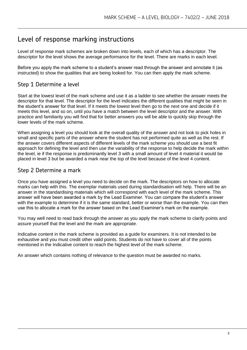## Level of response marking instructions

Level of response mark schemes are broken down into levels, each of which has a descriptor. The descriptor for the level shows the average performance for the level. There are marks in each level.

Before you apply the mark scheme to a student's answer read through the answer and annotate it (as instructed) to show the qualities that are being looked for. You can then apply the mark scheme.

## Step 1 Determine a level

Start at the lowest level of the mark scheme and use it as a ladder to see whether the answer meets the descriptor for that level. The descriptor for the level indicates the different qualities that might be seen in the student's answer for that level. If it meets the lowest level then go to the next one and decide if it meets this level, and so on, until you have a match between the level descriptor and the answer. With practice and familiarity you will find that for better answers you will be able to quickly skip through the lower levels of the mark scheme.

When assigning a level you should look at the overall quality of the answer and not look to pick holes in small and specific parts of the answer where the student has not performed quite as well as the rest. If the answer covers different aspects of different levels of the mark scheme you should use a best fit approach for defining the level and then use the variability of the response to help decide the mark within the level, ie if the response is predominantly level 3 with a small amount of level 4 material it would be placed in level 3 but be awarded a mark near the top of the level because of the level 4 content.

## Step 2 Determine a mark

Once you have assigned a level you need to decide on the mark. The descriptors on how to allocate marks can help with this. The exemplar materials used during standardisation will help. There will be an answer in the standardising materials which will correspond with each level of the mark scheme. This answer will have been awarded a mark by the Lead Examiner. You can compare the student's answer with the example to determine if it is the same standard, better or worse than the example. You can then use this to allocate a mark for the answer based on the Lead Examiner's mark on the example.

You may well need to read back through the answer as you apply the mark scheme to clarify points and assure yourself that the level and the mark are appropriate.

Indicative content in the mark scheme is provided as a guide for examiners. It is not intended to be exhaustive and you must credit other valid points. Students do not have to cover all of the points mentioned in the Indicative content to reach the highest level of the mark scheme.

An answer which contains nothing of relevance to the question must be awarded no marks.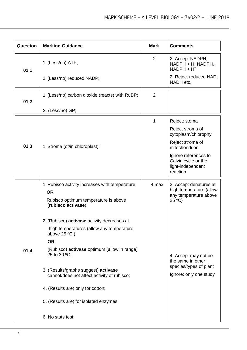| Question | <b>Marking Guidance</b>                                                             | <b>Mark</b> | <b>Comments</b>                                                              |
|----------|-------------------------------------------------------------------------------------|-------------|------------------------------------------------------------------------------|
| 01.1     | 1. (Less/no) ATP;                                                                   | 2           | 2. Accept NADPH,<br>NADPH + H, NADPH <sub>2</sub><br>$NADPH + H+$            |
|          | 2. (Less/no) reduced NADP;                                                          |             | 2. Reject reduced NAD,<br>NADH etc,                                          |
| 01.2     | 1. (Less/no) carbon dioxide (reacts) with RuBP;                                     | 2           |                                                                              |
|          | 2. (Less/no) GP;                                                                    |             |                                                                              |
|          |                                                                                     | 1           | Reject: stoma                                                                |
|          |                                                                                     |             | Reject stroma of<br>cytoplasm/chlorophyll                                    |
| 01.3     | 1. Stroma (of/in chloroplast);                                                      |             | Reject stroma of<br>mitochondrion                                            |
|          |                                                                                     |             | Ignore references to<br>Calvin cycle or the<br>light-independent<br>reaction |
|          | 1. Rubisco activity increases with temperature                                      | 4 max       | 2. Accept denatures at<br>high temperature (allow                            |
|          | <b>OR</b><br>Rubisco optimum temperature is above<br>(rubisco activase);            |             | any temperature above<br>$25 \text{°C}$                                      |
|          | 2. (Rubisco) activase activity decreases at                                         |             |                                                                              |
|          | high temperatures (allow any temperature<br>above $25 \degree C$ .)                 |             |                                                                              |
|          | <b>OR</b>                                                                           |             |                                                                              |
| 01.4     | (Rubisco) <b>activase</b> optimum (allow in range)<br>25 to 30 $°C$ .;              |             | 4. Accept may not be<br>the same in other                                    |
|          | 3. (Results/graphs suggest) activase<br>cannot/does not affect activity of rubisco; |             | species/types of plant<br>Ignore: only one study                             |
|          | 4. (Results are) only for cotton;                                                   |             |                                                                              |
|          | 5. (Results are) for isolated enzymes;                                              |             |                                                                              |
|          | 6. No stats test;                                                                   |             |                                                                              |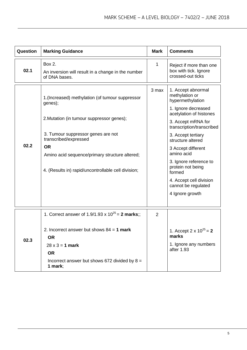| Question | <b>Marking Guidance</b>                                                                                                                                                                                                                                                                       | <b>Mark</b>    | <b>Comments</b>                                                                                                                                                                                                                                                                                                                                                            |
|----------|-----------------------------------------------------------------------------------------------------------------------------------------------------------------------------------------------------------------------------------------------------------------------------------------------|----------------|----------------------------------------------------------------------------------------------------------------------------------------------------------------------------------------------------------------------------------------------------------------------------------------------------------------------------------------------------------------------------|
| 02.1     | Box 2.<br>An inversion will result in a change in the number<br>of DNA bases.                                                                                                                                                                                                                 | 1              | Reject if more than one<br>box with tick. Ignore<br>crossed-out ticks                                                                                                                                                                                                                                                                                                      |
| 02.2     | 1. (Increased) methylation (of tumour suppressor<br>genes);<br>2. Mutation (in tumour suppressor genes);<br>3. Tumour suppressor genes are not<br>transcribed/expressed<br><b>OR</b><br>Amino acid sequence/primary structure altered;<br>4. (Results in) rapid/uncontrollable cell division; | 3 max          | 1. Accept abnormal<br>methylation or<br>hypermethylation<br>1. Ignore decreased<br>acetylation of histones<br>3. Accept mRNA for<br>transcription/transcribed<br>3. Accept tertiary<br>structure altered<br>3 Accept different<br>amino acid<br>3. Ignore reference to<br>protein not being<br>formed<br>4. Accept cell division<br>cannot be regulated<br>4 Ignore growth |
| 02.3     | 1. Correct answer of 1.9/1.93 x $10^{25}$ = 2 marks;;<br>2. Incorrect answer but shows $84 = 1$ mark<br><b>OR</b><br>$28 \times 3 = 1$ mark<br><b>OR</b><br>Incorrect answer but shows 672 divided by $8 =$<br>1 mark;                                                                        | $\overline{2}$ | 1. Accept 2 x $10^{25} = 2$<br>marks<br>1. Ignore any numbers<br>after 1.93                                                                                                                                                                                                                                                                                                |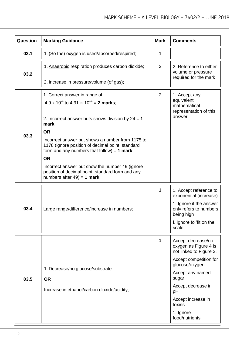| Question | <b>Marking Guidance</b>                                                                                                                                                                                                                                                                                                                                                                                                                                                               | <b>Mark</b>    | <b>Comments</b>                                                                                                                                                                                                                             |
|----------|---------------------------------------------------------------------------------------------------------------------------------------------------------------------------------------------------------------------------------------------------------------------------------------------------------------------------------------------------------------------------------------------------------------------------------------------------------------------------------------|----------------|---------------------------------------------------------------------------------------------------------------------------------------------------------------------------------------------------------------------------------------------|
| 03.1     | 1. (So the) oxygen is used/absorbed/respired;                                                                                                                                                                                                                                                                                                                                                                                                                                         | 1              |                                                                                                                                                                                                                                             |
| 03.2     | 1. Anaerobic respiration produces carbon dioxide;<br>2. Increase in pressure/volume (of gas);                                                                                                                                                                                                                                                                                                                                                                                         | 2              | 2. Reference to either<br>volume or pressure<br>required for the mark                                                                                                                                                                       |
| 03.3     | 1. Correct answer in range of<br>$4.9 \times 10^{-4}$ to $4.91 \times 10^{-4} = 2$ marks:<br>2. Incorrect answer buts shows division by $24 = 1$<br>mark<br><b>OR</b><br>Incorrect answer but shows a number from 1175 to<br>1178 (ignore position of decimal point, standard<br>form and any numbers that follow) = $1$ mark;<br><b>OR</b><br>Incorrect answer but show the number 49 (ignore)<br>position of decimal point, standard form and any<br>numbers after $49$ ) = 1 mark; | $\overline{2}$ | 1. Accept any<br>equivalent<br>mathematical<br>representation of this<br>answer                                                                                                                                                             |
| 03.4     | Large range/difference/increase in numbers;                                                                                                                                                                                                                                                                                                                                                                                                                                           | 1              | 1. Accept reference to<br>exponential (increase)<br>1. Ignore if the answer<br>only refers to numbers<br>being high<br>I. Ignore to 'fit on the<br>scale'                                                                                   |
| 03.5     | 1. Decrease/no glucose/substrate<br><b>OR</b><br>Increase in ethanol/carbon dioxide/acidity;                                                                                                                                                                                                                                                                                                                                                                                          | 1              | Accept decrease/no<br>oxygen as Figure 4 is<br>not linked to Figure 3.<br>Accept competition for<br>glucose/oxygen.<br>Accept any named<br>sugar<br>Accept decrease in<br>pH<br>Accept increase in<br>toxins<br>1. Ignore<br>food/nutrients |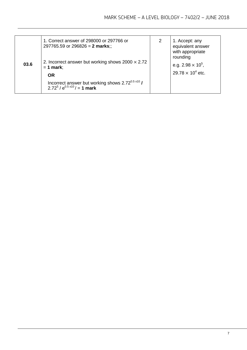| 03.6 | 1. Correct answer of 298000 or 297766 or<br>297765.59 or 296826 = 2 marks;;<br>2. Incorrect answer but working shows $2000 \times 2.72$<br>$= 1$ mark;<br><b>OR</b> | 2 | 1. Accept: any<br>equivalent answer<br>with appropriate<br>rounding<br>e.g. $2.98 \times 10^5$ ,<br>$29.78 \times 10^4$ etc. |
|------|---------------------------------------------------------------------------------------------------------------------------------------------------------------------|---|------------------------------------------------------------------------------------------------------------------------------|
|      | Incorrect answer but working shows $2.72^{0.5 \times 10}$ /<br>$2.72^5 / e^{0.5 \times 10}$ = 1 mark                                                                |   |                                                                                                                              |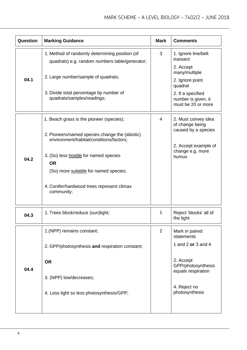| Question | <b>Marking Guidance</b>                                                                                                                                                                                                                                                                           | <b>Mark</b> | <b>Comments</b>                                                                                                                                               |
|----------|---------------------------------------------------------------------------------------------------------------------------------------------------------------------------------------------------------------------------------------------------------------------------------------------------|-------------|---------------------------------------------------------------------------------------------------------------------------------------------------------------|
| 04.1     | 1. Method of randomly determining position (of<br>quadrats) e.g. random numbers table/generator;<br>2. Large number/sample of quadrats;<br>3. Divide total percentage by number of<br>quadrats/samples/readings;                                                                                  | 3           | 1. Ignore line/belt<br>transect<br>2. Accept<br>many/multiple<br>2. Ignore point<br>quadrat<br>2. If a specified<br>number is given, it<br>must be 20 or more |
| 04.2     | 1. Beach grass is the pioneer (species);<br>2. Pioneers/named species change the (abiotic)<br>environment/habitat/conditions/factors;<br>3. (So) less hostile for named species<br><b>OR</b><br>(So) more suitable for named species;<br>4. Conifer/hardwood trees represent climax<br>community; | 4           | 2. Must convey idea<br>of change being<br>caused by a species<br>2. Accept example of<br>change e.g. more<br>humus                                            |
| 04.3     | 1. Trees block/reduce (sun)light;                                                                                                                                                                                                                                                                 | 1           | Reject 'blocks' all of<br>the light                                                                                                                           |
| 04.4     | 1.(NPP) remains constant;<br>2. GPP/photosynthesis and respiration constant;<br><b>OR</b><br>3. (NPP) low/decreases;<br>4. Less light so less photosynthesis/GPP;                                                                                                                                 | 2           | Mark in paired<br>statements<br>1 and 2 or 3 and 4<br>2. Accept<br>GPP/photosynthesis<br>equals respiration<br>4. Reject no<br>photosynthesis                 |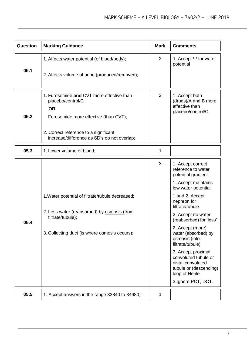| Question | <b>Marking Guidance</b>                                                                                                                                                      | <b>Mark</b> | <b>Comments</b>                                                                                                                                                                                                                                                                                                           |
|----------|------------------------------------------------------------------------------------------------------------------------------------------------------------------------------|-------------|---------------------------------------------------------------------------------------------------------------------------------------------------------------------------------------------------------------------------------------------------------------------------------------------------------------------------|
| 05.1     | 1. Affects water potential (of blood/body);<br>2. Affects volume of urine (produced/removed);                                                                                | 2           | 1. Accept $\Psi$ for water<br>potential                                                                                                                                                                                                                                                                                   |
|          |                                                                                                                                                                              |             |                                                                                                                                                                                                                                                                                                                           |
| 05.2     | 1. Furosemide and CVT more effective than<br>placebo/control/C<br><b>OR</b><br>Furosemide more effective (than CVT);                                                         | 2           | 1. Accept both<br>(drugs)/A and B more<br>effective than<br>placebo/control/C                                                                                                                                                                                                                                             |
|          | 2. Correct reference to a significant<br>increase/difference as SD's do not overlap;                                                                                         |             |                                                                                                                                                                                                                                                                                                                           |
| 05.3     | 1. Lower volume of blood;                                                                                                                                                    | 1           |                                                                                                                                                                                                                                                                                                                           |
| 05.4     | 1. Water potential of filtrate/tubule decreased;<br>2. Less water (reabsorbed) by <b>osmosis</b> (from<br>filtrate/tubule);<br>3. Collecting duct (is where osmosis occurs); | 3           | 1. Accept correct<br>reference to water<br>potential gradient<br>1. Accept maintains<br>low water potential.<br>1 and 2. Accept<br>nephron for<br>filtrate/tubule.<br>2. Accept no water<br>(reabsorbed) for 'less'<br>2. Accept (more)<br>water (absorbed) by<br>osmosis (into<br>filtrate/tubule)<br>3. Accept proximal |
|          |                                                                                                                                                                              |             | convoluted tubule or<br>distal convoluted<br>tubule or (descending)<br>loop of Henle<br>3.Ignore PCT, DCT.                                                                                                                                                                                                                |
| 05.5     | 1. Accept answers in the range 33840 to 34680;                                                                                                                               | 1           |                                                                                                                                                                                                                                                                                                                           |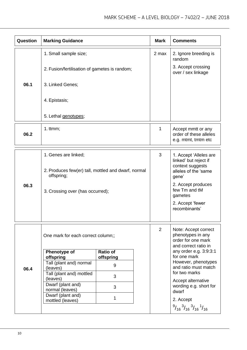| Question | <b>Marking Guidance</b>                                           |                              |  | <b>Mark</b>                                                                | <b>Comments</b>                                                                                       |
|----------|-------------------------------------------------------------------|------------------------------|--|----------------------------------------------------------------------------|-------------------------------------------------------------------------------------------------------|
|          | 1. Small sample size;                                             |                              |  | 2 max                                                                      | 2. Ignore breeding is<br>random                                                                       |
|          | 2. Fusion/fertilisation of gametes is random;                     |                              |  |                                                                            | 3. Accept crossing<br>over / sex linkage                                                              |
| 06.1     | 3. Linked Genes;                                                  |                              |  |                                                                            |                                                                                                       |
|          | 4. Epistasis;                                                     |                              |  |                                                                            |                                                                                                       |
|          | 5. Lethal genotypes;                                              |                              |  |                                                                            |                                                                                                       |
| 06.2     | 1. $ttmm;$                                                        |                              |  | 1                                                                          | Accept mmtt or any<br>order of these alleles<br>e.g. mtmt, tmtm etc                                   |
|          | 1. Genes are linked;                                              |                              |  | 3                                                                          | 1. Accept 'Alleles are                                                                                |
| 06.3     | 2. Produces few(er) tall, mottled and dwarf, normal<br>offspring; |                              |  | linked' but reject if<br>context suggests<br>alleles of the 'same<br>gene' |                                                                                                       |
|          | 3. Crossing over (has occurred);                                  |                              |  |                                                                            | 2. Accept produces<br>few Tm and tM<br>gametes                                                        |
|          |                                                                   |                              |  |                                                                            | 2. Accept 'fewer<br>recombinants'                                                                     |
|          | One mark for each correct column;;                                |                              |  | $\overline{2}$                                                             | Note: Accept correct<br>phenotypes in any<br>order for one mark<br>and correct ratio in               |
| 06.4     | Phenotype of<br>offspring                                         | <b>Ratio of</b><br>offspring |  |                                                                            | any order e.g. 3:9:3:1<br>for one mark                                                                |
|          | Tall (plant and) normal<br>(leaves)                               | 9                            |  |                                                                            | However, phenotypes<br>and ratio must match                                                           |
|          | Tall (plant and) mottled<br>(leaves)                              | 3                            |  |                                                                            | for two marks                                                                                         |
|          | Dwarf (plant and)<br>normal (leaves)                              | 3                            |  |                                                                            | Accept alternative<br>wording e.g. short for                                                          |
|          | Dwarf (plant and)<br>mottled (leaves)                             | 1                            |  | dwarf<br>2. Accept                                                         |                                                                                                       |
|          |                                                                   |                              |  |                                                                            | $\frac{9}{16}$ <sup>3</sup> / <sub>16</sub> <sup>3</sup> / <sub>16</sub> <sup>1</sup> / <sub>16</sub> |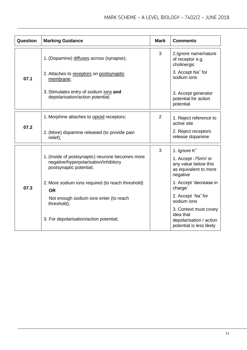| <b>Question</b> | <b>Marking Guidance</b>                                                                                              | <b>Mark</b>    | <b>Comments</b>                                                                           |
|-----------------|----------------------------------------------------------------------------------------------------------------------|----------------|-------------------------------------------------------------------------------------------|
|                 | 1. (Dopamine) diffuses across (synapse);                                                                             | 3              | 2. Ignore name/nature<br>of receptor e.g.<br>cholinergic                                  |
| 07.1            | 2. Attaches to receptors on postsynaptic<br>membrane;                                                                |                | 3. Accept Na <sup>+</sup> for<br>sodium ions                                              |
|                 | 3. Stimulates entry of sodium ions and<br>depolarisation/action potential;                                           |                | 3. Accept generator<br>potential for action<br>potential                                  |
|                 | 1. Morphine attaches to opioid receptors;                                                                            | $\overline{2}$ | 1. Reject reference to<br>active site                                                     |
| 07.2            | 2. (More) dopamine released (to provide pain<br>relief);                                                             |                | 2. Reject receptors<br>release dopamine                                                   |
|                 |                                                                                                                      | 3              | 1. Ignore $K^*$                                                                           |
|                 | 1. (Inside of postsynaptic) neurone becomes more<br>negative/hyperpolarisation/inhibitory<br>postsynaptic potential; |                | 1. Accept -75mV or<br>any value below this<br>as equivalent to more<br>negative           |
| 07.3            | 2. More sodium ions required (to reach threshold)<br><b>OR</b>                                                       |                | 1. Accept 'decrease in<br>charge'                                                         |
|                 | Not enough sodium ions enter (to reach<br>threshold);                                                                |                | 2. Accept Na <sup>+</sup> for<br>sodium ions                                              |
|                 | 3. For depolarisation/action potential;                                                                              |                | 3. Context must covey<br>idea that<br>depolarisation / action<br>potential is less likely |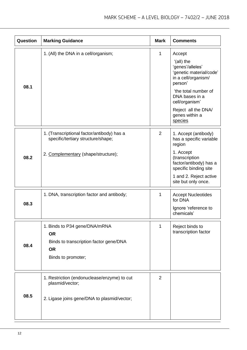| Question | <b>Marking Guidance</b>                                                                                                 | <b>Mark</b>    | <b>Comments</b>                                                                                                                                                                                                       |
|----------|-------------------------------------------------------------------------------------------------------------------------|----------------|-----------------------------------------------------------------------------------------------------------------------------------------------------------------------------------------------------------------------|
| 08.1     | 1. (All) the DNA in a cell/organism;                                                                                    | $\mathbf{1}$   | Accept<br>'(all) the<br>'genes'/alleles'<br>'genetic material/code'<br>in a cell/organism/<br>person'<br>'the total number of<br>DNA bases in a<br>cell/organism'<br>Reject all the DNA/<br>genes within a<br>species |
| 08.2     | 1. (Transcriptional factor/antibody) has a<br>specific/tertiary structure/shape;<br>2. Complementary (shape/structure); | $\overline{2}$ | 1. Accept (antibody)<br>has a specific variable<br>region<br>1. Accept<br>(transcription<br>factor/antibody) has a<br>specific binding site<br>1 and 2. Reject active<br>site but only once.                          |
| 08.3     | 1. DNA, transcription factor and antibody;                                                                              | 1              | <b>Accept Nucleotides</b><br>for DNA<br>Ignore 'reference to<br>chemicals'                                                                                                                                            |
| 08.4     | 1. Binds to P34 gene/DNA/mRNA<br><b>OR</b><br>Binds to transcription factor gene/DNA<br><b>OR</b><br>Binds to promoter; | 1              | Reject binds to<br>transcription factor                                                                                                                                                                               |
| 08.5     | 1. Restriction (endonuclease/enzyme) to cut<br>plasmid/vector;<br>2. Ligase joins gene/DNA to plasmid/vector;           | 2              |                                                                                                                                                                                                                       |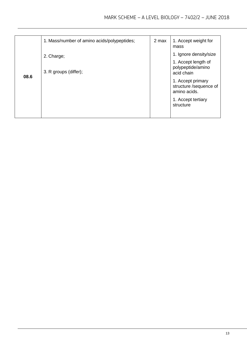|      | 1. Mass/number of amino acids/polypeptides; | 2 max | 1. Accept weight for<br>mass                                                                                                                                                       |
|------|---------------------------------------------|-------|------------------------------------------------------------------------------------------------------------------------------------------------------------------------------------|
| 08.6 | 2. Charge;<br>3. R groups (differ);         |       | 1. Ignore density/size<br>1. Accept length of<br>polypeptide/amino<br>acid chain<br>1. Accept primary<br>structure /sequence of<br>amino acids.<br>1. Accept tertiary<br>structure |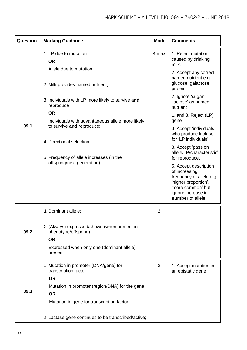| Question | <b>Marking Guidance</b>                                                                                                                    | <b>Mark</b>    | <b>Comments</b>                                                                                                                                           |
|----------|--------------------------------------------------------------------------------------------------------------------------------------------|----------------|-----------------------------------------------------------------------------------------------------------------------------------------------------------|
|          | 1. LP due to mutation<br><b>OR</b>                                                                                                         | 4 max          | 1. Reject mutation<br>caused by drinking<br>milk.                                                                                                         |
|          | Allele due to mutation;<br>2. Milk provides named nutrient;                                                                                |                | 2. Accept any correct<br>named nutrient e.g.<br>glucose, galactose,<br>protein                                                                            |
|          | 3. Individuals with LP more likely to survive and<br>reproduce                                                                             |                | 2. Ignore 'sugar'<br>'lactose' as named<br>nutrient                                                                                                       |
| 09.1     | <b>OR</b><br>Individuals with advantageous allele more likely<br>to survive and reproduce;                                                 |                | 1. and 3. Reject (LP)<br>gene                                                                                                                             |
|          | 4. Directional selection;                                                                                                                  |                | 3. Accept 'individuals<br>who produce lactase'<br>for 'LP individuals'                                                                                    |
|          | 5. Frequency of allele increases (in the                                                                                                   |                | 3. Accept 'pass on<br>allele/LP/characteristic'<br>for reproduce.                                                                                         |
|          | offspring/next generation);                                                                                                                |                | 5. Accept description<br>of increasing<br>frequency of allele e.g.<br>'higher proportion',<br>'more common' but<br>ignore increase in<br>number of allele |
|          | 1. Dominant allele;                                                                                                                        | $\overline{2}$ |                                                                                                                                                           |
| 09.2     | 2. (Always) expressed/shown (when present in<br>phenotype/offspring)<br><b>OR</b><br>Expressed when only one (dominant allele)<br>present; |                |                                                                                                                                                           |
| 09.3     | 1. Mutation in promoter (DNA/gene) for<br>transcription factor                                                                             | 2              | 1. Accept mutation in<br>an epistatic gene                                                                                                                |
|          | <b>OR</b><br>Mutation in promoter (region/DNA) for the gene<br><b>OR</b><br>Mutation in gene for transcription factor;                     |                |                                                                                                                                                           |
|          | 2. Lactase gene continues to be transcribed/active;                                                                                        |                |                                                                                                                                                           |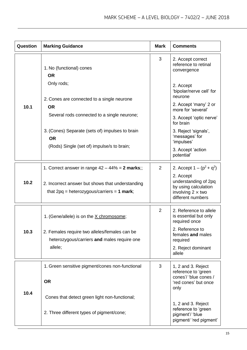| Question | <b>Marking Guidance</b>                                                                          | <b>Mark</b>    | <b>Comments</b>                                                                                            |
|----------|--------------------------------------------------------------------------------------------------|----------------|------------------------------------------------------------------------------------------------------------|
|          | 1. No (functional) cones<br><b>OR</b>                                                            | 3              | 2. Accept correct<br>reference to retinal<br>convergence                                                   |
|          | Only rods;                                                                                       |                | 2. Accept<br>'bipolar/nerve cell' for<br>neurone                                                           |
| 10.1     | 2. Cones are connected to a single neurone<br><b>OR</b>                                          |                | 2. Accept 'many' 2 or<br>more for 'several'                                                                |
|          | Several rods connected to a single neurone;                                                      |                | 3. Accept 'optic nerve'<br>for brain                                                                       |
|          | 3. (Cones) Separate (sets of) impulses to brain<br><b>OR</b>                                     |                | 3. Reject 'signals',<br>'messages' for<br>'impulses'                                                       |
|          | (Rods) Single (set of) impulse/s to brain;                                                       |                | 3. Accept 'action<br>potential'                                                                            |
|          | 1. Correct answer in range $42 - 44\% = 2$ marks;;                                               | $\overline{2}$ | 2. Accept $1 - (p^2 + q^2)$                                                                                |
| 10.2     | 2. Incorrect answer but shows that understanding<br>that $2pq$ = heterozygous/carriers = 1 mark; |                | 2. Accept<br>understanding of 2pq<br>by using calculation<br>involving $2 \times$ two<br>different numbers |
|          | 1. (Gene/allele) is on the X chromosome;                                                         | $\overline{2}$ | 2. Reference to allele<br>is essential but only<br>required once                                           |
| 10.3     | 2. Females require two alleles/females can be<br>heterozygous/carriers and males require one     |                | 2. Reference to<br>females and males<br>required                                                           |
|          | allele;                                                                                          |                | 2. Reject dominant<br>allele                                                                               |
|          | 1. Green sensitive pigment/cones non-functional                                                  | 3              | 1, 2 and 3. Reject<br>reference to 'green                                                                  |
|          | <b>OR</b>                                                                                        |                | cones'/ 'blue cones /<br>'red cones' but once<br>only                                                      |
| 10.4     | Cones that detect green light non-functional;                                                    |                |                                                                                                            |
|          | 2. Three different types of pigment/cone;                                                        |                | 1, 2 and 3. Reject<br>reference to 'green<br>pigment'/ 'blue<br>pigment/ 'red pigment'                     |